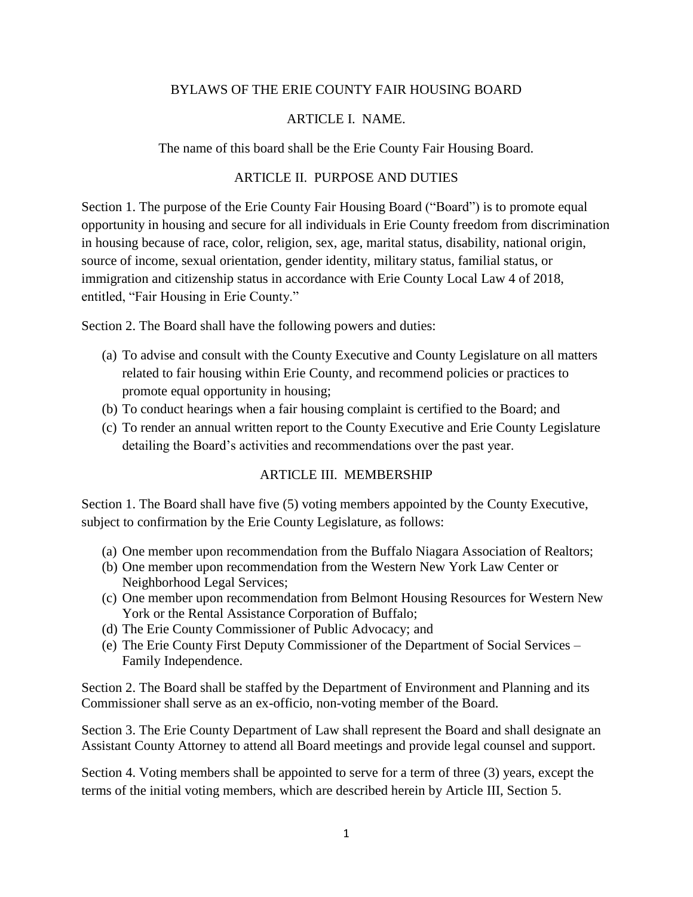### BYLAWS OF THE ERIE COUNTY FAIR HOUSING BOARD

### ARTICLE I. NAME.

The name of this board shall be the Erie County Fair Housing Board.

### ARTICLE II. PURPOSE AND DUTIES

Section 1. The purpose of the Erie County Fair Housing Board ("Board") is to promote equal opportunity in housing and secure for all individuals in Erie County freedom from discrimination in housing because of race, color, religion, sex, age, marital status, disability, national origin, source of income, sexual orientation, gender identity, military status, familial status, or immigration and citizenship status in accordance with Erie County Local Law 4 of 2018, entitled, "Fair Housing in Erie County."

Section 2. The Board shall have the following powers and duties:

- (a) To advise and consult with the County Executive and County Legislature on all matters related to fair housing within Erie County, and recommend policies or practices to promote equal opportunity in housing;
- (b) To conduct hearings when a fair housing complaint is certified to the Board; and
- (c) To render an annual written report to the County Executive and Erie County Legislature detailing the Board's activities and recommendations over the past year.

## ARTICLE III. MEMBERSHIP

Section 1. The Board shall have five (5) voting members appointed by the County Executive, subject to confirmation by the Erie County Legislature, as follows:

- (a) One member upon recommendation from the Buffalo Niagara Association of Realtors;
- (b) One member upon recommendation from the Western New York Law Center or Neighborhood Legal Services;
- (c) One member upon recommendation from Belmont Housing Resources for Western New York or the Rental Assistance Corporation of Buffalo;
- (d) The Erie County Commissioner of Public Advocacy; and
- (e) The Erie County First Deputy Commissioner of the Department of Social Services Family Independence.

Section 2. The Board shall be staffed by the Department of Environment and Planning and its Commissioner shall serve as an ex-officio, non-voting member of the Board.

Section 3. The Erie County Department of Law shall represent the Board and shall designate an Assistant County Attorney to attend all Board meetings and provide legal counsel and support.

Section 4. Voting members shall be appointed to serve for a term of three (3) years, except the terms of the initial voting members, which are described herein by Article III, Section 5.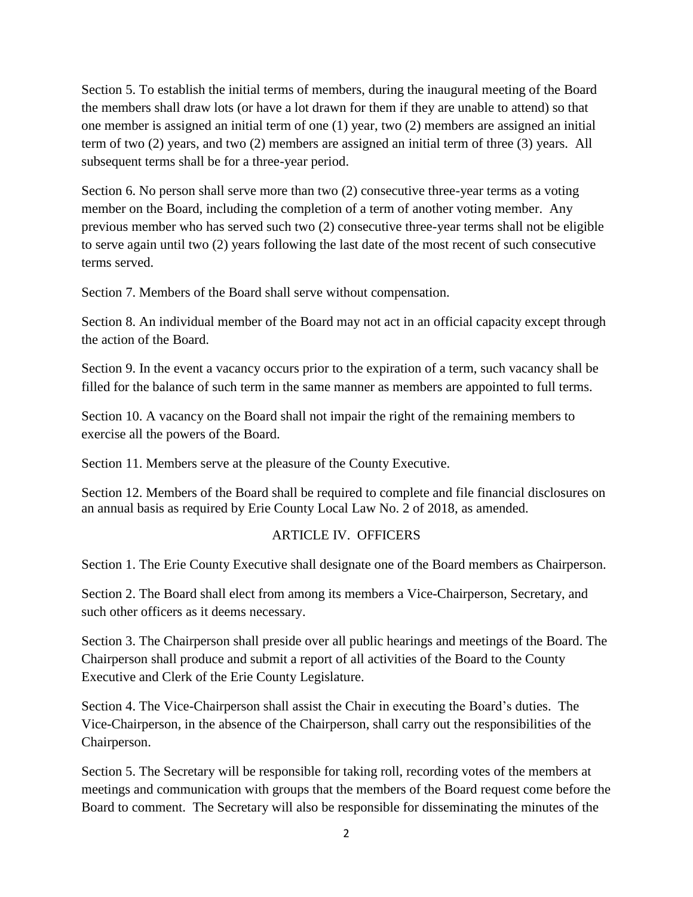Section 5. To establish the initial terms of members, during the inaugural meeting of the Board the members shall draw lots (or have a lot drawn for them if they are unable to attend) so that one member is assigned an initial term of one (1) year, two (2) members are assigned an initial term of two (2) years, and two (2) members are assigned an initial term of three (3) years. All subsequent terms shall be for a three-year period.

Section 6. No person shall serve more than two (2) consecutive three-year terms as a voting member on the Board, including the completion of a term of another voting member. Any previous member who has served such two (2) consecutive three-year terms shall not be eligible to serve again until two (2) years following the last date of the most recent of such consecutive terms served.

Section 7. Members of the Board shall serve without compensation.

Section 8. An individual member of the Board may not act in an official capacity except through the action of the Board.

Section 9. In the event a vacancy occurs prior to the expiration of a term, such vacancy shall be filled for the balance of such term in the same manner as members are appointed to full terms.

Section 10. A vacancy on the Board shall not impair the right of the remaining members to exercise all the powers of the Board.

Section 11. Members serve at the pleasure of the County Executive.

Section 12. Members of the Board shall be required to complete and file financial disclosures on an annual basis as required by Erie County Local Law No. 2 of 2018, as amended.

## ARTICLE IV. OFFICERS

Section 1. The Erie County Executive shall designate one of the Board members as Chairperson.

Section 2. The Board shall elect from among its members a Vice-Chairperson, Secretary, and such other officers as it deems necessary.

Section 3. The Chairperson shall preside over all public hearings and meetings of the Board. The Chairperson shall produce and submit a report of all activities of the Board to the County Executive and Clerk of the Erie County Legislature.

Section 4. The Vice-Chairperson shall assist the Chair in executing the Board's duties. The Vice-Chairperson, in the absence of the Chairperson, shall carry out the responsibilities of the Chairperson.

Section 5. The Secretary will be responsible for taking roll, recording votes of the members at meetings and communication with groups that the members of the Board request come before the Board to comment. The Secretary will also be responsible for disseminating the minutes of the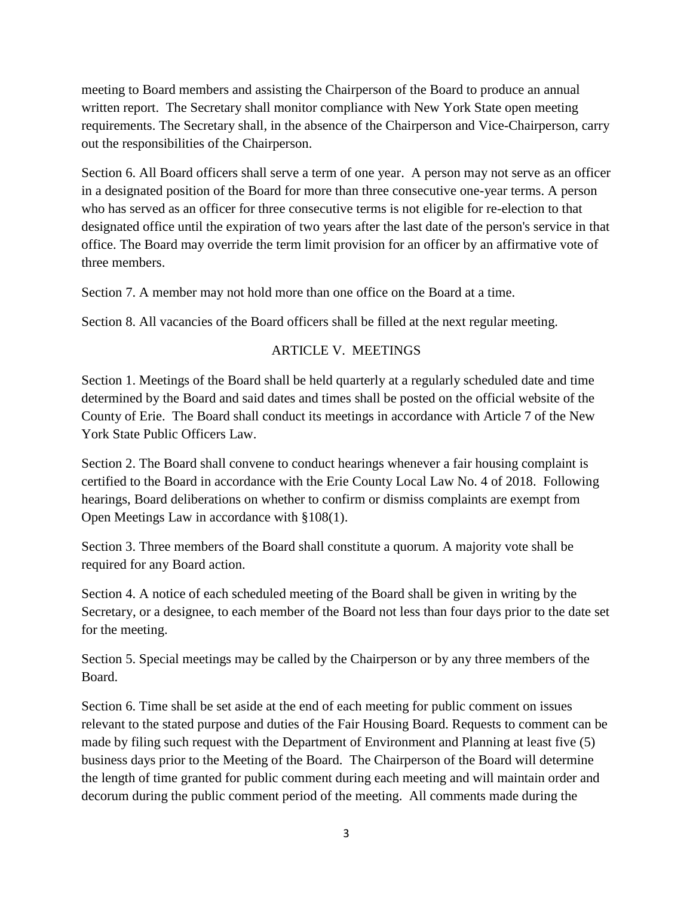meeting to Board members and assisting the Chairperson of the Board to produce an annual written report. The Secretary shall monitor compliance with New York State open meeting requirements. The Secretary shall, in the absence of the Chairperson and Vice-Chairperson, carry out the responsibilities of the Chairperson.

Section 6. All Board officers shall serve a term of one year. A person may not serve as an officer in a designated position of the Board for more than three consecutive one-year terms. A person who has served as an officer for three consecutive terms is not eligible for re-election to that designated office until the expiration of two years after the last date of the person's service in that office. The Board may override the term limit provision for an officer by an affirmative vote of three members.

Section 7. A member may not hold more than one office on the Board at a time.

Section 8. All vacancies of the Board officers shall be filled at the next regular meeting.

# ARTICLE V. MEETINGS

Section 1. Meetings of the Board shall be held quarterly at a regularly scheduled date and time determined by the Board and said dates and times shall be posted on the official website of the County of Erie. The Board shall conduct its meetings in accordance with Article 7 of the New York State Public Officers Law.

Section 2. The Board shall convene to conduct hearings whenever a fair housing complaint is certified to the Board in accordance with the Erie County Local Law No. 4 of 2018. Following hearings, Board deliberations on whether to confirm or dismiss complaints are exempt from Open Meetings Law in accordance with §108(1).

Section 3. Three members of the Board shall constitute a quorum. A majority vote shall be required for any Board action.

Section 4. A notice of each scheduled meeting of the Board shall be given in writing by the Secretary, or a designee, to each member of the Board not less than four days prior to the date set for the meeting.

Section 5. Special meetings may be called by the Chairperson or by any three members of the Board.

Section 6. Time shall be set aside at the end of each meeting for public comment on issues relevant to the stated purpose and duties of the Fair Housing Board. Requests to comment can be made by filing such request with the Department of Environment and Planning at least five (5) business days prior to the Meeting of the Board. The Chairperson of the Board will determine the length of time granted for public comment during each meeting and will maintain order and decorum during the public comment period of the meeting. All comments made during the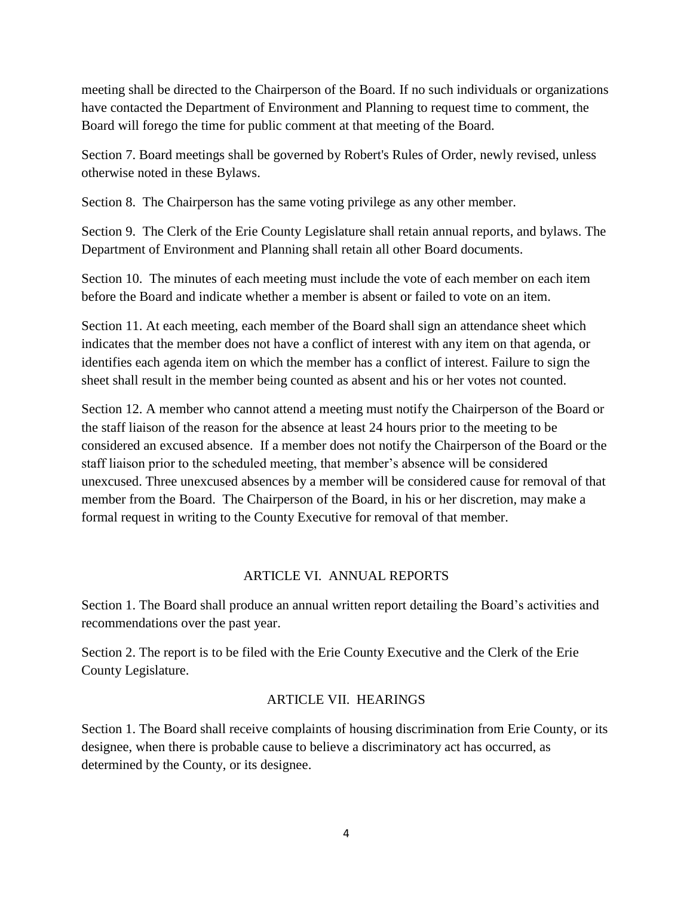meeting shall be directed to the Chairperson of the Board. If no such individuals or organizations have contacted the Department of Environment and Planning to request time to comment, the Board will forego the time for public comment at that meeting of the Board.

Section 7. Board meetings shall be governed by Robert's Rules of Order, newly revised, unless otherwise noted in these Bylaws.

Section 8. The Chairperson has the same voting privilege as any other member.

Section 9. The Clerk of the Erie County Legislature shall retain annual reports, and bylaws. The Department of Environment and Planning shall retain all other Board documents.

Section 10. The minutes of each meeting must include the vote of each member on each item before the Board and indicate whether a member is absent or failed to vote on an item.

Section 11. At each meeting, each member of the Board shall sign an attendance sheet which indicates that the member does not have a conflict of interest with any item on that agenda, or identifies each agenda item on which the member has a conflict of interest. Failure to sign the sheet shall result in the member being counted as absent and his or her votes not counted.

Section 12. A member who cannot attend a meeting must notify the Chairperson of the Board or the staff liaison of the reason for the absence at least 24 hours prior to the meeting to be considered an excused absence. If a member does not notify the Chairperson of the Board or the staff liaison prior to the scheduled meeting, that member's absence will be considered unexcused. Three unexcused absences by a member will be considered cause for removal of that member from the Board. The Chairperson of the Board, in his or her discretion, may make a formal request in writing to the County Executive for removal of that member.

#### ARTICLE VI. ANNUAL REPORTS

Section 1. The Board shall produce an annual written report detailing the Board's activities and recommendations over the past year.

Section 2. The report is to be filed with the Erie County Executive and the Clerk of the Erie County Legislature.

#### ARTICLE VII. HEARINGS

Section 1. The Board shall receive complaints of housing discrimination from Erie County, or its designee, when there is probable cause to believe a discriminatory act has occurred, as determined by the County, or its designee.